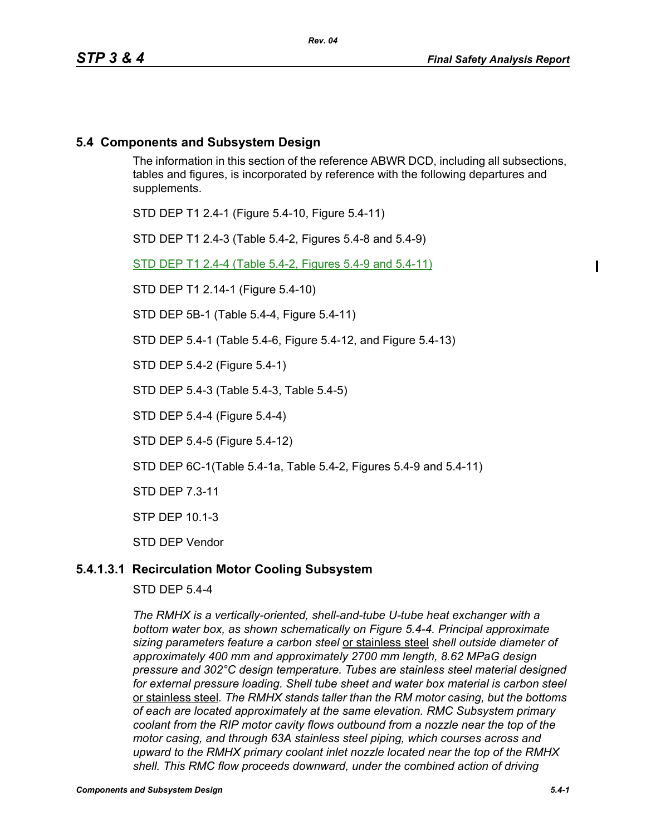ı

# **5.4 Components and Subsystem Design**

The information in this section of the reference ABWR DCD, including all subsections, tables and figures, is incorporated by reference with the following departures and supplements.

STD DEP T1 2.4-1 (Figure 5.4-10, Figure 5.4-11)

STD DEP T1 2.4-3 (Table 5.4-2, Figures 5.4-8 and 5.4-9)

STD DEP T1 2.4-4 (Table 5.4-2, Figures 5.4-9 and 5.4-11)

STD DEP T1 2.14-1 (Figure 5.4-10)

STD DEP 5B-1 (Table 5.4-4, Figure 5.4-11)

STD DEP 5.4-1 (Table 5.4-6, Figure 5.4-12, and Figure 5.4-13)

STD DEP 5.4-2 (Figure 5.4-1)

STD DEP 5.4-3 (Table 5.4-3, Table 5.4-5)

STD DEP 5.4-4 (Figure 5.4-4)

STD DEP 5.4-5 (Figure 5.4-12)

STD DEP 6C-1(Table 5.4-1a, Table 5.4-2, Figures 5.4-9 and 5.4-11)

STD DEP 7.3-11

STP DEP 10.1-3

STD DEP Vendor

# **5.4.1.3.1 Recirculation Motor Cooling Subsystem**

STD DEP 5.4-4

*The RMHX is a vertically-oriented, shell-and-tube U-tube heat exchanger with a bottom water box, as shown schematically on Figure 5.4-4. Principal approximate sizing parameters feature a carbon steel* or stainless steel *shell outside diameter of approximately 400 mm and approximately 2700 mm length, 8.62 MPaG design pressure and 302°C design temperature. Tubes are stainless steel material designed*  for external pressure loading. Shell tube sheet and water box material is carbon steel or stainless steel*. The RMHX stands taller than the RM motor casing, but the bottoms of each are located approximately at the same elevation. RMC Subsystem primary coolant from the RIP motor cavity flows outbound from a nozzle near the top of the motor casing, and through 63A stainless steel piping, which courses across and upward to the RMHX primary coolant inlet nozzle located near the top of the RMHX shell. This RMC flow proceeds downward, under the combined action of driving*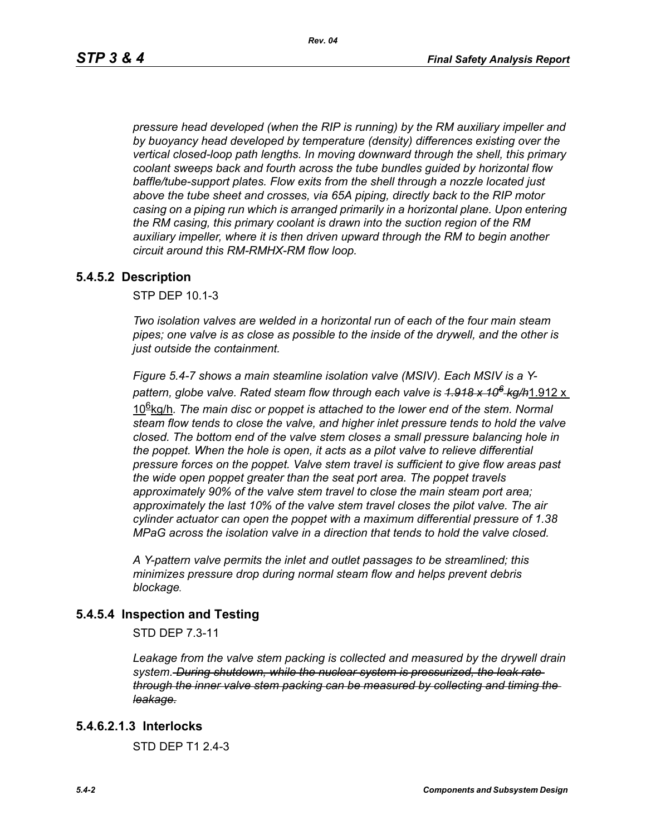*pressure head developed (when the RIP is running) by the RM auxiliary impeller and by buoyancy head developed by temperature (density) differences existing over the vertical closed-loop path lengths. In moving downward through the shell, this primary coolant sweeps back and fourth across the tube bundles guided by horizontal flow baffle/tube-support plates. Flow exits from the shell through a nozzle located just above the tube sheet and crosses, via 65A piping, directly back to the RIP motor casing on a piping run which is arranged primarily in a horizontal plane. Upon entering the RM casing, this primary coolant is drawn into the suction region of the RM auxiliary impeller, where it is then driven upward through the RM to begin another circuit around this RM-RMHX-RM flow loop.*

### **5.4.5.2 Description**

STP DEP 10.1-3

*Two isolation valves are welded in a horizontal run of each of the four main steam pipes; one valve is as close as possible to the inside of the drywell, and the other is just outside the containment.* 

*Figure 5.4-7 shows a main steamline isolation valve (MSIV). Each MSIV is a Ypattern, globe valve. Rated steam flow through each valve is 1.918 x 106 kg/h*1.912 x 106kg/h*. The main disc or poppet is attached to the lower end of the stem. Normal steam flow tends to close the valve, and higher inlet pressure tends to hold the valve closed. The bottom end of the valve stem closes a small pressure balancing hole in the poppet. When the hole is open, it acts as a pilot valve to relieve differential pressure forces on the poppet. Valve stem travel is sufficient to give flow areas past the wide open poppet greater than the seat port area. The poppet travels approximately 90% of the valve stem travel to close the main steam port area; approximately the last 10% of the valve stem travel closes the pilot valve. The air cylinder actuator can open the poppet with a maximum differential pressure of 1.38 MPaG across the isolation valve in a direction that tends to hold the valve closed.* 

*A Y-pattern valve permits the inlet and outlet passages to be streamlined; this minimizes pressure drop during normal steam flow and helps prevent debris blockage.*

### **5.4.5.4 Inspection and Testing**

STD DEP 7.3-11

*Leakage from the valve stem packing is collected and measured by the drywell drain system. During shutdown, while the nuclear system is pressurized, the leak rate through the inner valve stem packing can be measured by collecting and timing the leakage.*

### **5.4.6.2.1.3 Interlocks**

STD DEP T1 2.4-3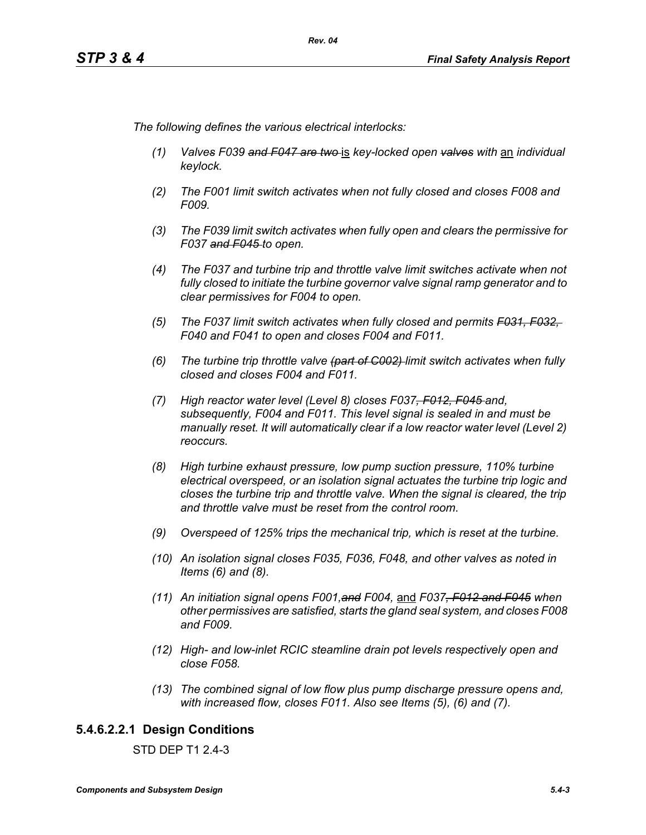*The following defines the various electrical interlocks:*

- *(1) Valves F039 and F047 are two* is *key-locked open valves with* an *individual keylock.*
- *(2) The F001 limit switch activates when not fully closed and closes F008 and F009.*
- *(3) The F039 limit switch activates when fully open and clears the permissive for F037 and F045 to open.*
- *(4) The F037 and turbine trip and throttle valve limit switches activate when not fully closed to initiate the turbine governor valve signal ramp generator and to clear permissives for F004 to open.*
- *(5) The F037 limit switch activates when fully closed and permits F031, F032, F040 and F041 to open and closes F004 and F011.*
- *(6) The turbine trip throttle valve (part of C002) limit switch activates when fully closed and closes F004 and F011.*
- *(7) High reactor water level (Level 8) closes F037, F012, F045 and, subsequently, F004 and F011. This level signal is sealed in and must be manually reset. It will automatically clear if a low reactor water level (Level 2) reoccurs.*
- *(8) High turbine exhaust pressure, low pump suction pressure, 110% turbine electrical overspeed, or an isolation signal actuates the turbine trip logic and closes the turbine trip and throttle valve. When the signal is cleared, the trip and throttle valve must be reset from the control room.*
- *(9) Overspeed of 125% trips the mechanical trip, which is reset at the turbine.*
- *(10) An isolation signal closes F035, F036, F048, and other valves as noted in Items (6) and (8).*
- *(11) An initiation signal opens F001,and F004,* and *F037, F012 and F045 when other permissives are satisfied, starts the gland seal system, and closes F008 and F009.*
- *(12) High- and low-inlet RCIC steamline drain pot levels respectively open and close F058.*
- *(13) The combined signal of low flow plus pump discharge pressure opens and, with increased flow, closes F011. Also see Items (5), (6) and (7).*

# **5.4.6.2.2.1 Design Conditions**

STD DEP T1 2.4-3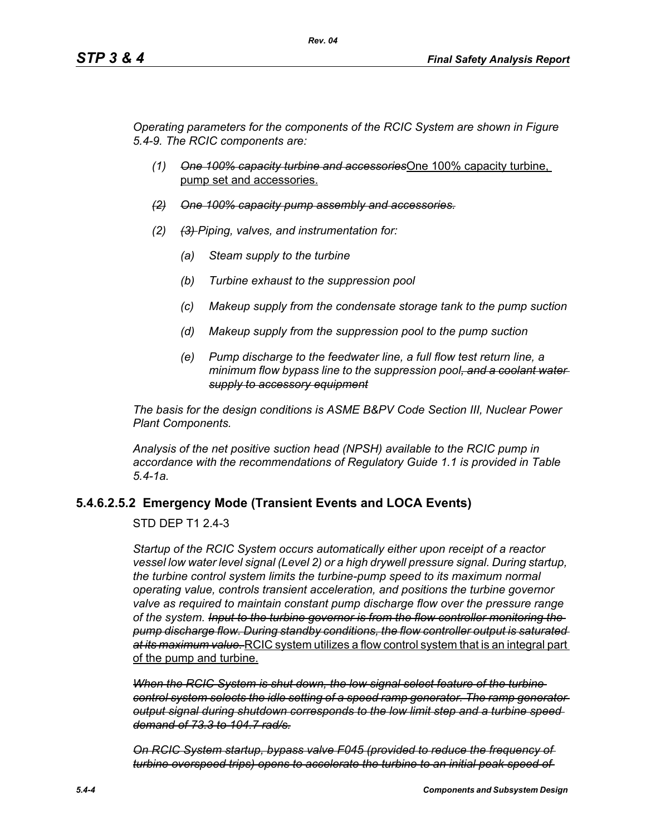*Operating parameters for the components of the RCIC System are shown in Figure 5.4-9. The RCIC components are:*

- *(1) One 100% capacity turbine and accessories*One 100% capacity turbine, pump set and accessories.
- *(2) One 100% capacity pump assembly and accessories.*
- *(2) (3) Piping, valves, and instrumentation for:*
	- *(a) Steam supply to the turbine*
	- *(b) Turbine exhaust to the suppression pool*
	- *(c) Makeup supply from the condensate storage tank to the pump suction*
	- *(d) Makeup supply from the suppression pool to the pump suction*
	- *(e) Pump discharge to the feedwater line, a full flow test return line, a minimum flow bypass line to the suppression pool, and a coolant water supply to accessory equipment*

*The basis for the design conditions is ASME B&PV Code Section III, Nuclear Power Plant Components.*

*Analysis of the net positive suction head (NPSH) available to the RCIC pump in accordance with the recommendations of Regulatory Guide 1.1 is provided in Table 5.4-1a.*

### **5.4.6.2.5.2 Emergency Mode (Transient Events and LOCA Events)**

#### STD DEP T1 2.4-3

*Startup of the RCIC System occurs automatically either upon receipt of a reactor vessel low water level signal (Level 2) or a high drywell pressure signal. During startup, the turbine control system limits the turbine-pump speed to its maximum normal operating value, controls transient acceleration, and positions the turbine governor valve as required to maintain constant pump discharge flow over the pressure range of the system. Input to the turbine governor is from the flow controller monitoring the pump discharge flow. During standby conditions, the flow controller output is saturated at its maximum value.* RCIC system utilizes a flow control system that is an integral part of the pump and turbine.

*When the RCIC System is shut down, the low signal select feature of the turbine control system selects the idle setting of a speed ramp generator. The ramp generator output signal during shutdown corresponds to the low limit step and a turbine speed demand of 73.3 to 104.7 rad/s.*

*On RCIC System startup, bypass valve F045 (provided to reduce the frequency of turbine overspeed trips) opens to accelerate the turbine to an initial peak speed of*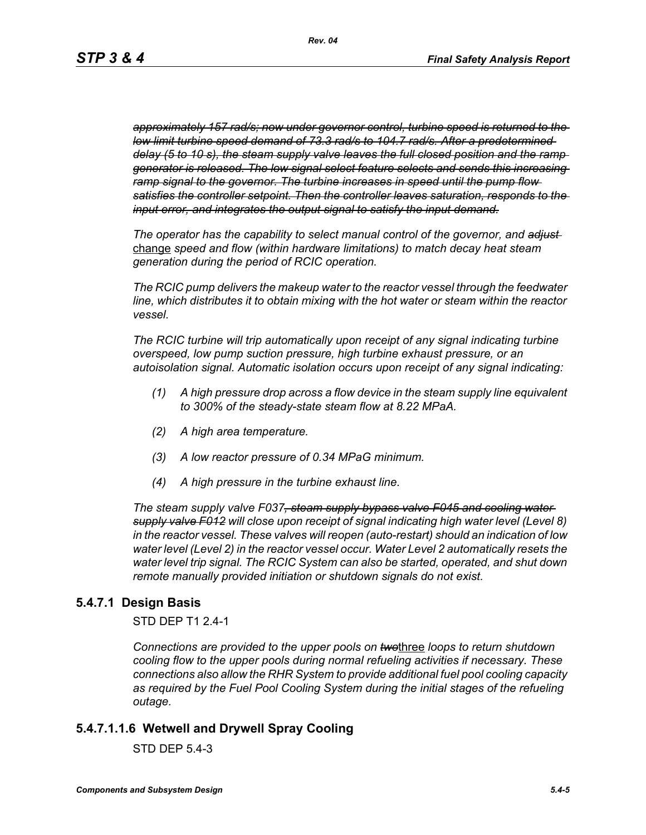*approximately 157 rad/s; now under governor control, turbine speed is returned to the low limit turbine speed demand of 73.3 rad/s to 104.7 rad/s. After a predetermined delay (5 to 10 s), the steam supply valve leaves the full closed position and the ramp generator is released. The low signal select feature selects and sends this increasing ramp signal to the governor. The turbine increases in speed until the pump flow satisfies the controller setpoint. Then the controller leaves saturation, responds to the input error, and integrates the output signal to satisfy the input demand.*

*The operator has the capability to select manual control of the governor, and adjust*  change *speed and flow (within hardware limitations) to match decay heat steam generation during the period of RCIC operation.*

*The RCIC pump delivers the makeup water to the reactor vessel through the feedwater line, which distributes it to obtain mixing with the hot water or steam within the reactor vessel.*

*The RCIC turbine will trip automatically upon receipt of any signal indicating turbine overspeed, low pump suction pressure, high turbine exhaust pressure, or an autoisolation signal. Automatic isolation occurs upon receipt of any signal indicating:*

- *(1) A high pressure drop across a flow device in the steam supply line equivalent to 300% of the steady-state steam flow at 8.22 MPaA.*
- *(2) A high area temperature.*
- *(3) A low reactor pressure of 0.34 MPaG minimum.*
- *(4) A high pressure in the turbine exhaust line.*

*The steam supply valve F037, steam supply bypass valve F045 and cooling water supply valve F012 will close upon receipt of signal indicating high water level (Level 8) in the reactor vessel. These valves will reopen (auto-restart) should an indication of low water level (Level 2) in the reactor vessel occur. Water Level 2 automatically resets the water level trip signal. The RCIC System can also be started, operated, and shut down remote manually provided initiation or shutdown signals do not exist.*

# **5.4.7.1 Design Basis**

STD DEP T1 2.4-1

*Connections are provided to the upper pools on two*three *loops to return shutdown cooling flow to the upper pools during normal refueling activities if necessary. These connections also allow the RHR System to provide additional fuel pool cooling capacity*  as required by the Fuel Pool Cooling System during the initial stages of the refueling *outage.*

### **5.4.7.1.1.6 Wetwell and Drywell Spray Cooling**

STD DEP 5.4-3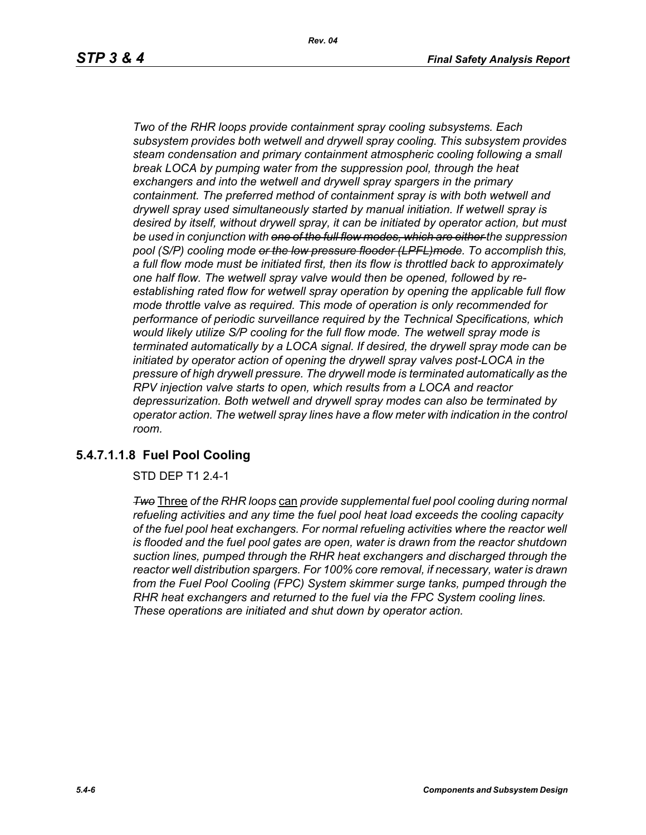*Two of the RHR loops provide containment spray cooling subsystems. Each subsystem provides both wetwell and drywell spray cooling. This subsystem provides steam condensation and primary containment atmospheric cooling following a small break LOCA by pumping water from the suppression pool, through the heat exchangers and into the wetwell and drywell spray spargers in the primary containment. The preferred method of containment spray is with both wetwell and drywell spray used simultaneously started by manual initiation. If wetwell spray is desired by itself, without drywell spray, it can be initiated by operator action, but must be used in conjunction with one of the full flow modes, which are either the suppression pool (S/P) cooling mode or the low pressure flooder (LPFL)mode. To accomplish this, a full flow mode must be initiated first, then its flow is throttled back to approximately one half flow. The wetwell spray valve would then be opened, followed by reestablishing rated flow for wetwell spray operation by opening the applicable full flow mode throttle valve as required. This mode of operation is only recommended for performance of periodic surveillance required by the Technical Specifications, which would likely utilize S/P cooling for the full flow mode. The wetwell spray mode is terminated automatically by a LOCA signal. If desired, the drywell spray mode can be initiated by operator action of opening the drywell spray valves post-LOCA in the pressure of high drywell pressure. The drywell mode is terminated automatically as the RPV injection valve starts to open, which results from a LOCA and reactor depressurization. Both wetwell and drywell spray modes can also be terminated by operator action. The wetwell spray lines have a flow meter with indication in the control room.*

# **5.4.7.1.1.8 Fuel Pool Cooling**

STD DEP T1 2.4-1

*Two* Three *of the RHR loops* can *provide supplemental fuel pool cooling during normal refueling activities and any time the fuel pool heat load exceeds the cooling capacity of the fuel pool heat exchangers. For normal refueling activities where the reactor well is flooded and the fuel pool gates are open, water is drawn from the reactor shutdown suction lines, pumped through the RHR heat exchangers and discharged through the reactor well distribution spargers. For 100% core removal, if necessary, water is drawn from the Fuel Pool Cooling (FPC) System skimmer surge tanks, pumped through the RHR heat exchangers and returned to the fuel via the FPC System cooling lines. These operations are initiated and shut down by operator action.*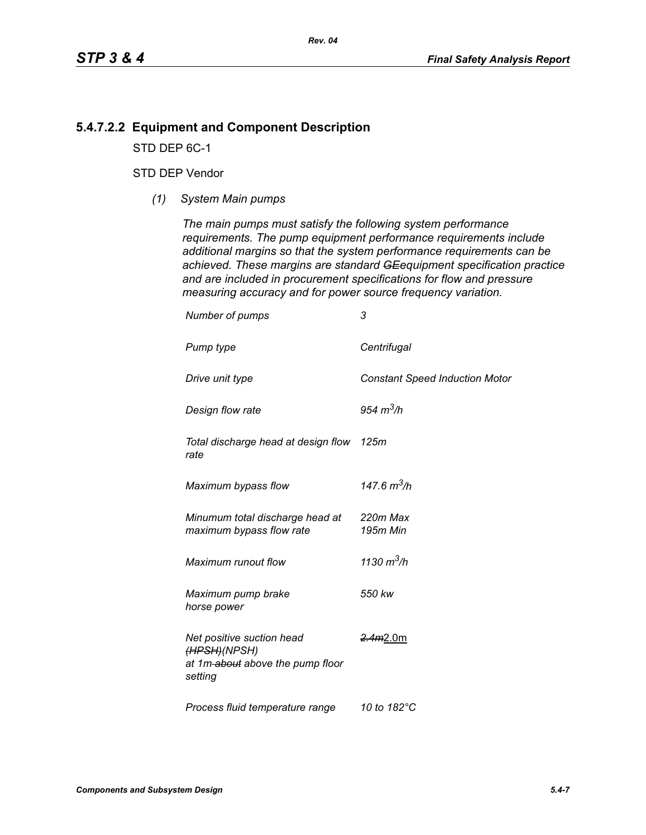# **5.4.7.2.2 Equipment and Component Description**

STD DEP 6C-1

# STD DEP Vendor

*(1) System Main pumps*

*The main pumps must satisfy the following system performance requirements. The pump equipment performance requirements include additional margins so that the system performance requirements can be achieved. These margins are standard GEequipment specification practice and are included in procurement specifications for flow and pressure measuring accuracy and for power source frequency variation.*

| Number of pumps                                                                          | 3                                     |
|------------------------------------------------------------------------------------------|---------------------------------------|
| Pump type                                                                                | Centrifugal                           |
| Drive unit type                                                                          | <b>Constant Speed Induction Motor</b> |
| Design flow rate                                                                         | 954 $m^3/h$                           |
| Total discharge head at design flow 125m<br>rate                                         |                                       |
| Maximum bypass flow                                                                      | 147.6 $m^3/h$                         |
| Minumum total discharge head at<br>maximum bypass flow rate                              | 220m Max<br>195m Min                  |
| Maximum runout flow                                                                      | 1130 $m^3/h$                          |
| Maximum pump brake<br>horse power                                                        | 550 kw                                |
| Net positive suction head<br>(HPSH)(NPSH)<br>at 1m-about above the pump floor<br>setting | <del>2.4m</del> 2.0m                  |
| Process fluid temperature range                                                          | 10 to 182°C                           |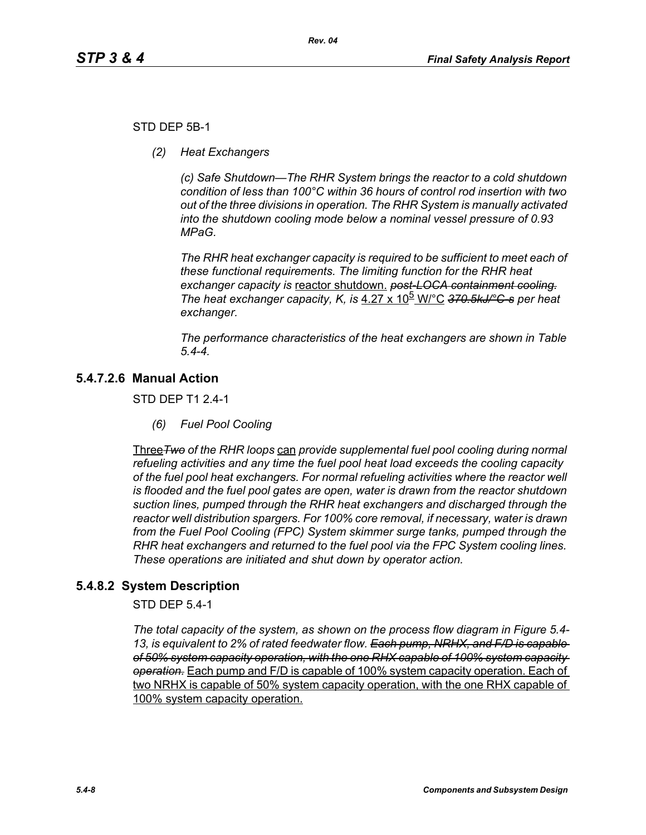### STD DEP 5B-1

*(2) Heat Exchangers*

*(c) Safe Shutdown—The RHR System brings the reactor to a cold shutdown condition of less than 100°C within 36 hours of control rod insertion with two out of the three divisions in operation. The RHR System is manually activated into the shutdown cooling mode below a nominal vessel pressure of 0.93 MPaG.* 

*The RHR heat exchanger capacity is required to be sufficient to meet each of these functional requirements. The limiting function for the RHR heat exchanger capacity is* reactor shutdown. *post-LOCA containment cooling. The heat exchanger capacity, K, is* 4.27 x 10<sup>b</sup> W/°C 370.5kJ/°C-s per heat *exchanger.*

*The performance characteristics of the heat exchangers are shown in Table 5.4-4.*

# **5.4.7.2.6 Manual Action**

STD DEP T1 2.4-1

*(6) Fuel Pool Cooling*

Three*Two of the RHR loops* can *provide supplemental fuel pool cooling during normal refueling activities and any time the fuel pool heat load exceeds the cooling capacity of the fuel pool heat exchangers. For normal refueling activities where the reactor well is flooded and the fuel pool gates are open, water is drawn from the reactor shutdown suction lines, pumped through the RHR heat exchangers and discharged through the reactor well distribution spargers. For 100% core removal, if necessary, water is drawn from the Fuel Pool Cooling (FPC) System skimmer surge tanks, pumped through the RHR heat exchangers and returned to the fuel pool via the FPC System cooling lines. These operations are initiated and shut down by operator action.*

# **5.4.8.2 System Description**

STD DEP 5.4-1

*The total capacity of the system, as shown on the process flow diagram in Figure 5.4- 13, is equivalent to 2% of rated feedwater flow. Each pump, NRHX, and F/D is capable of 50% system capacity operation, with the one RHX capable of 100% system capacity operation.* Each pump and F/D is capable of 100% system capacity operation. Each of two NRHX is capable of 50% system capacity operation, with the one RHX capable of 100% system capacity operation.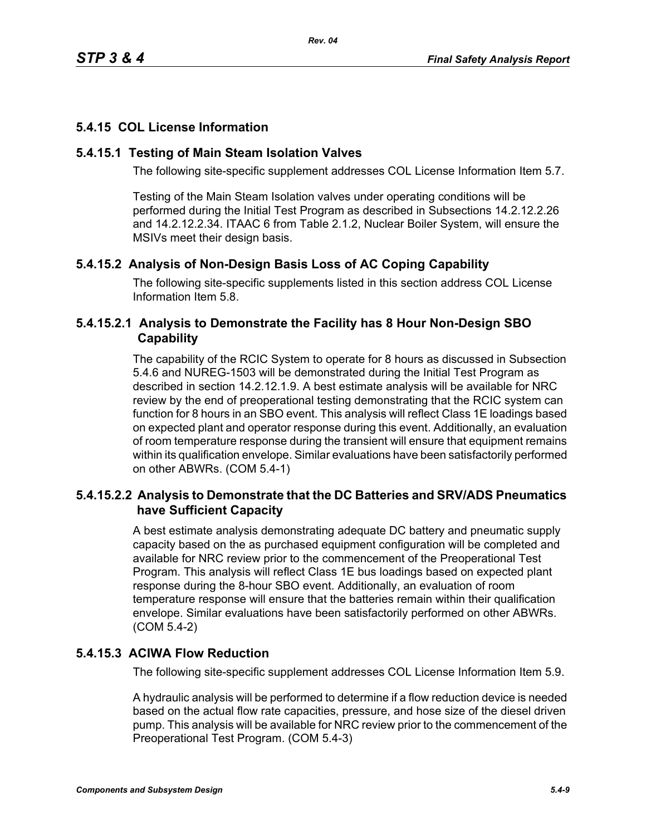# **5.4.15 COL License Information**

## **5.4.15.1 Testing of Main Steam Isolation Valves**

The following site-specific supplement addresses COL License Information Item 5.7.

Testing of the Main Steam Isolation valves under operating conditions will be performed during the Initial Test Program as described in Subsections 14.2.12.2.26 and 14.2.12.2.34. ITAAC 6 from Table 2.1.2, Nuclear Boiler System, will ensure the MSIVs meet their design basis.

# **5.4.15.2 Analysis of Non-Design Basis Loss of AC Coping Capability**

The following site-specific supplements listed in this section address COL License Information Item 5.8.

# **5.4.15.2.1 Analysis to Demonstrate the Facility has 8 Hour Non-Design SBO Capability**

The capability of the RCIC System to operate for 8 hours as discussed in Subsection 5.4.6 and NUREG-1503 will be demonstrated during the Initial Test Program as described in section 14.2.12.1.9. A best estimate analysis will be available for NRC review by the end of preoperational testing demonstrating that the RCIC system can function for 8 hours in an SBO event. This analysis will reflect Class 1E loadings based on expected plant and operator response during this event. Additionally, an evaluation of room temperature response during the transient will ensure that equipment remains within its qualification envelope. Similar evaluations have been satisfactorily performed on other ABWRs. (COM 5.4-1)

# **5.4.15.2.2 Analysis to Demonstrate that the DC Batteries and SRV/ADS Pneumatics have Sufficient Capacity**

A best estimate analysis demonstrating adequate DC battery and pneumatic supply capacity based on the as purchased equipment configuration will be completed and available for NRC review prior to the commencement of the Preoperational Test Program. This analysis will reflect Class 1E bus loadings based on expected plant response during the 8-hour SBO event. Additionally, an evaluation of room temperature response will ensure that the batteries remain within their qualification envelope. Similar evaluations have been satisfactorily performed on other ABWRs. (COM 5.4-2)

# **5.4.15.3 ACIWA Flow Reduction**

The following site-specific supplement addresses COL License Information Item 5.9.

A hydraulic analysis will be performed to determine if a flow reduction device is needed based on the actual flow rate capacities, pressure, and hose size of the diesel driven pump. This analysis will be available for NRC review prior to the commencement of the Preoperational Test Program. (COM 5.4-3)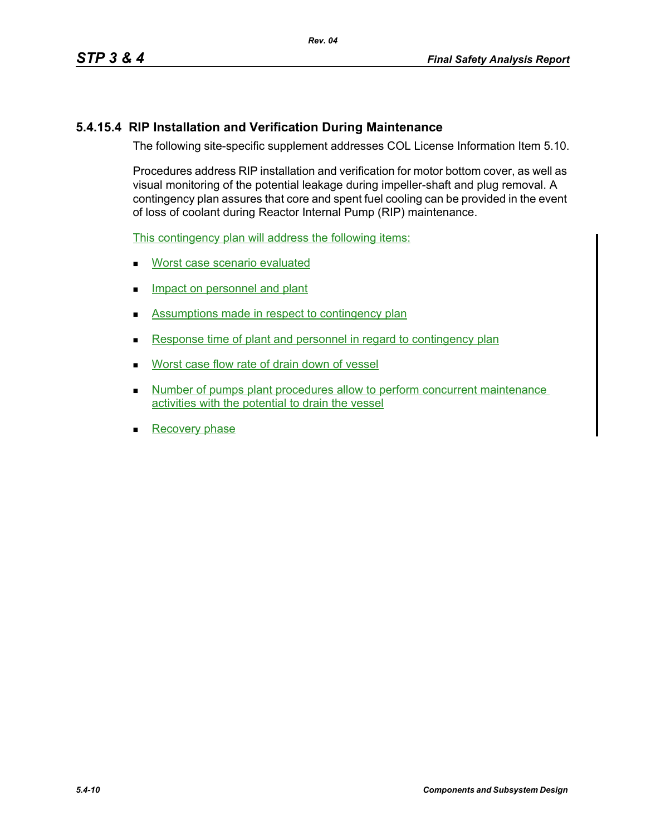# **5.4.15.4 RIP Installation and Verification During Maintenance**

The following site-specific supplement addresses COL License Information Item 5.10.

Procedures address RIP installation and verification for motor bottom cover, as well as visual monitoring of the potential leakage during impeller-shaft and plug removal. A contingency plan assures that core and spent fuel cooling can be provided in the event of loss of coolant during Reactor Internal Pump (RIP) maintenance.

This contingency plan will address the following items:

- **Worst case scenario evaluated**
- **Impact on personnel and plant**
- Assumptions made in respect to contingency plan
- Response time of plant and personnel in regard to contingency plan
- Worst case flow rate of drain down of vessel
- Number of pumps plant procedures allow to perform concurrent maintenance activities with the potential to drain the vessel
- **Recovery phase**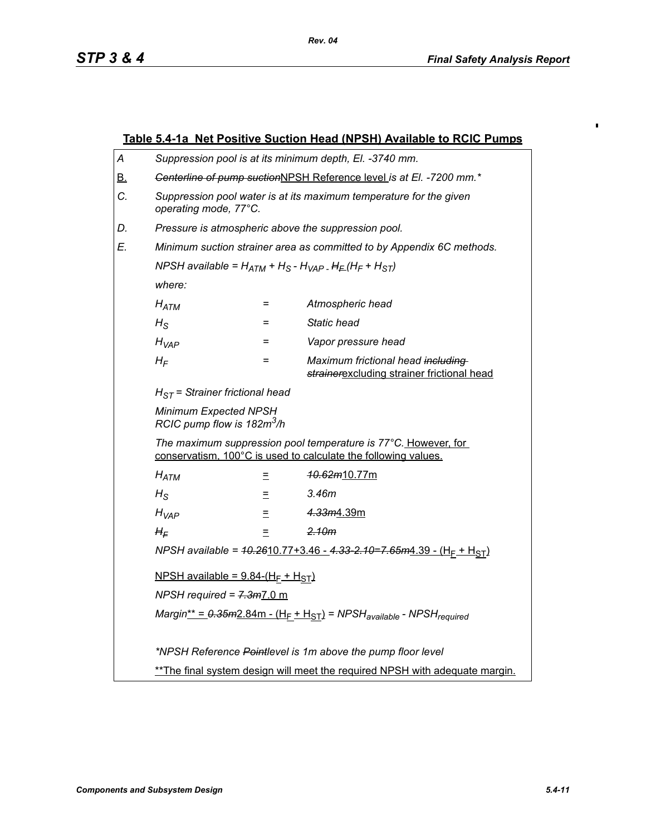$\blacksquare$ 

|                                                                                                                                                                            | Table 5.4-1a Net Positive Suction Head (NPSH) Available to RCIC Pumps                                               |     |                                                                                 |  |
|----------------------------------------------------------------------------------------------------------------------------------------------------------------------------|---------------------------------------------------------------------------------------------------------------------|-----|---------------------------------------------------------------------------------|--|
| A                                                                                                                                                                          | Suppression pool is at its minimum depth, El. -3740 mm.                                                             |     |                                                                                 |  |
| <u>B.</u>                                                                                                                                                                  | Genterline of pump suctionNPSH Reference level is at El. -7200 mm.*                                                 |     |                                                                                 |  |
| С.                                                                                                                                                                         | Suppression pool water is at its maximum temperature for the given<br>operating mode, 77°C.                         |     |                                                                                 |  |
| D.                                                                                                                                                                         | Pressure is atmospheric above the suppression pool.                                                                 |     |                                                                                 |  |
| E.                                                                                                                                                                         | Minimum suction strainer area as committed to by Appendix 6C methods.                                               |     |                                                                                 |  |
|                                                                                                                                                                            | NPSH available = $H_{ATM}$ + H <sub>S</sub> - H <sub>VAP -</sub> H <sub>E</sub> (H <sub>F</sub> + H <sub>ST</sub> ) |     |                                                                                 |  |
|                                                                                                                                                                            | where:                                                                                                              |     |                                                                                 |  |
|                                                                                                                                                                            | $H_{ATM}$                                                                                                           | $=$ | Atmospheric head                                                                |  |
|                                                                                                                                                                            | $H_{\rm S}$                                                                                                         | $=$ | Static head                                                                     |  |
|                                                                                                                                                                            | $H_{VAP}$                                                                                                           | $=$ | Vapor pressure head                                                             |  |
|                                                                                                                                                                            | $H_F$                                                                                                               | Ξ   | Maximum frictional head including<br>strainerexcluding strainer frictional head |  |
|                                                                                                                                                                            | $H_{ST}$ = Strainer frictional head                                                                                 |     |                                                                                 |  |
|                                                                                                                                                                            | Minimum Expected NPSH<br>RCIC pump flow is 182m <sup>3</sup> /h                                                     |     |                                                                                 |  |
| The maximum suppression pool temperature is 77°C. However, for<br>conservatism, 100°C is used to calculate the following values.                                           |                                                                                                                     |     |                                                                                 |  |
|                                                                                                                                                                            | $H_{ATM}$                                                                                                           | Ξ   | <del>10.62<i>m</i></del> 10.77m                                                 |  |
|                                                                                                                                                                            | $H_{\rm S}$                                                                                                         | Ξ   | 3.46m                                                                           |  |
| 4.33m4.39m<br>$H_{VAP}$<br>$\equiv$<br>2.10m<br>$H_F$<br>=                                                                                                                 |                                                                                                                     |     |                                                                                 |  |
|                                                                                                                                                                            |                                                                                                                     |     |                                                                                 |  |
|                                                                                                                                                                            | NPSH available = $40.2610.77 + 3.46 - 4.33 - 2.10 = 7.65m4.39 - (HF + HST)$                                         |     |                                                                                 |  |
|                                                                                                                                                                            | NPSH available = $9.84-(H_F + H_{ST})$<br>NPSH required = $7.3m$ 7.0 m                                              |     |                                                                                 |  |
|                                                                                                                                                                            |                                                                                                                     |     |                                                                                 |  |
| Margin <sup>**</sup> = $0.35m2.84m - (H_F + H_{ST})$ = NPSH <sub>available</sub> - NPSH <sub>required</sub><br>*NPSH Reference Pointlevel is 1m above the pump floor level |                                                                                                                     |     |                                                                                 |  |
|                                                                                                                                                                            |                                                                                                                     |     |                                                                                 |  |
|                                                                                                                                                                            | ** The final system design will meet the required NPSH with adequate margin.                                        |     |                                                                                 |  |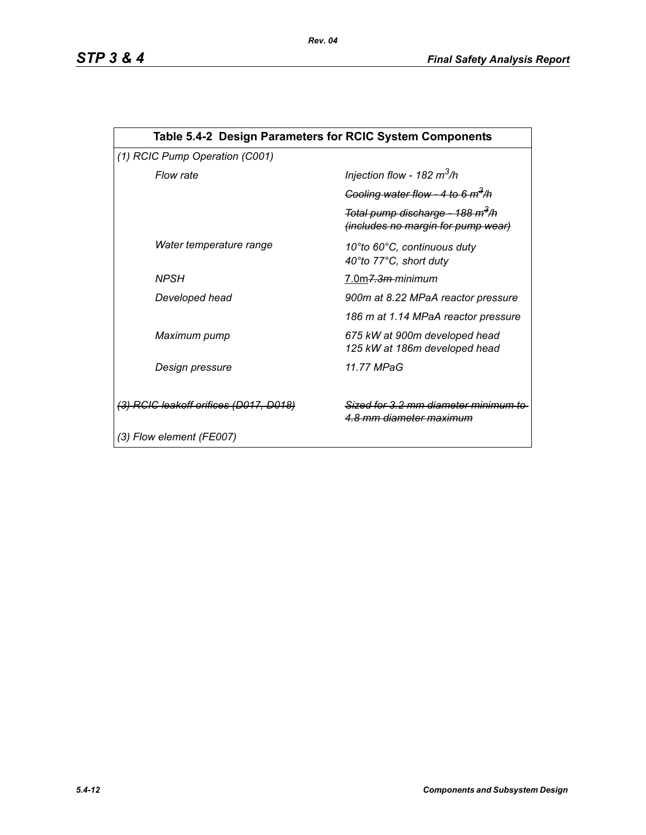| Table 5.4-2 Design Parameters for RCIC System Components |                                                                                    |  |  |  |  |
|----------------------------------------------------------|------------------------------------------------------------------------------------|--|--|--|--|
| (1) RCIC Pump Operation (C001)                           |                                                                                    |  |  |  |  |
| Flow rate                                                | Injection flow - 182 $m^3/h$                                                       |  |  |  |  |
|                                                          | Cooling water flow - 4 to 6 $m^3/h$                                                |  |  |  |  |
|                                                          | Total pump discharge - 188 m <sup>3</sup> /h<br>(includes no margin for pump wear) |  |  |  |  |
| Water temperature range                                  | 10°to 60°C, continuous duty<br>40°to 77°C, short duty                              |  |  |  |  |
| <b>NPSH</b>                                              | 7.0m <del>7.3m </del> minimum                                                      |  |  |  |  |
| Developed head                                           | 900m at 8.22 MPaA reactor pressure                                                 |  |  |  |  |
|                                                          | 186 m at 1.14 MPaA reactor pressure                                                |  |  |  |  |
| Maximum pump                                             | 675 kW at 900m developed head<br>125 kW at 186m developed head                     |  |  |  |  |
| Design pressure                                          | 11.77 MPaG                                                                         |  |  |  |  |
| (3) RCIC leakoff orifices (D017, D018)                   | Sized for 3.2 mm diameter minimu<br><u>4.8 mm diameter maximum</u>                 |  |  |  |  |
| (3) Flow element (FE007)                                 |                                                                                    |  |  |  |  |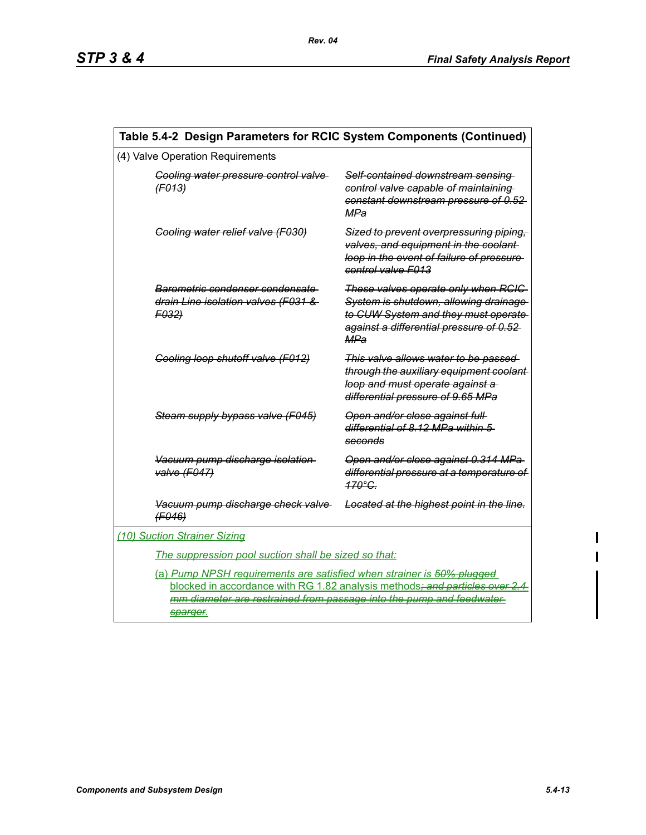| Table 5.4-2 Design Parameters for RCIC System Components (Continued)                                                                                                                                                                    |                                                                        |                                                                                                                                                                        |  |  |
|-----------------------------------------------------------------------------------------------------------------------------------------------------------------------------------------------------------------------------------------|------------------------------------------------------------------------|------------------------------------------------------------------------------------------------------------------------------------------------------------------------|--|--|
| (4) Valve Operation Requirements                                                                                                                                                                                                        |                                                                        |                                                                                                                                                                        |  |  |
| Cooling water pressure control valve<br>(F013)<br>Cooling water relief valve (F030)                                                                                                                                                     |                                                                        | Self-contained downstream sensing<br>control valve capable of maintaining<br>constant downstream pressure of 0.52<br>MPa                                               |  |  |
|                                                                                                                                                                                                                                         |                                                                        | Sized to prevent overpressuring piping,<br>valves, and equipment in the coolant-<br>loop in the event of failure of pressure<br>control valve F013                     |  |  |
| F032)                                                                                                                                                                                                                                   | Barometric condenser condensate<br>drain Line isolation valves (F031 & | These valves operate only when RCIC<br>System is shutdown, allowing drainage<br>to CUW System and they must operate<br>against a differential pressure of 0.52-<br>MPa |  |  |
|                                                                                                                                                                                                                                         | Cooling loop shutoff valve (F012)                                      | This valve allows water to be passed<br>through the auxiliary equipment coolant-<br>loop and must operate against a<br>differential pressure of 9.65 MPa               |  |  |
| Steam supply bypass valve (F045)<br>Vacuum pump discharge isolation<br>valve (F047)                                                                                                                                                     |                                                                        | Open and/or close against full<br>differential of 8.12 MPa within 5<br>seconds                                                                                         |  |  |
|                                                                                                                                                                                                                                         |                                                                        | Open and/or close against 0.314 MPa<br>differential pressure at a temperature of<br>$170^\circ$ C.                                                                     |  |  |
| (F046)                                                                                                                                                                                                                                  | Vacuum pump discharge check valve                                      | Located at the highest point in the line.                                                                                                                              |  |  |
| (10) Suction Strainer Sizing                                                                                                                                                                                                            |                                                                        |                                                                                                                                                                        |  |  |
|                                                                                                                                                                                                                                         | The suppression pool suction shall be sized so that:                   |                                                                                                                                                                        |  |  |
| (a) Pump NPSH requirements are satisfied when strainer is 50% plugged<br>blocked in accordance with RG 1.82 analysis methods; and particles over 2.4<br>mm diameter are restrained from passage into the pump and feedwater<br>sparger. |                                                                        |                                                                                                                                                                        |  |  |

 $\mathbf{I}$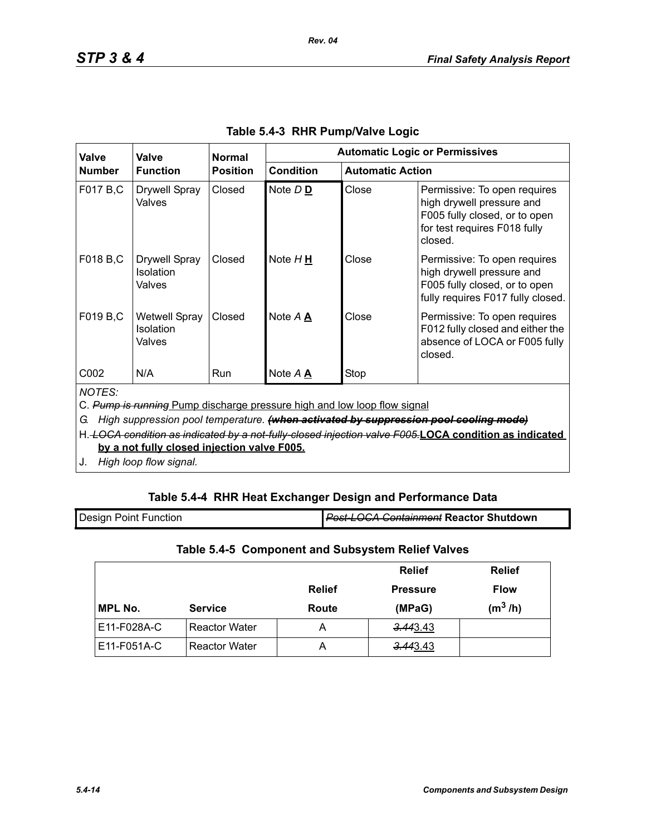| Valve                                                                                                                                                                                                                                                                                                                                           | Valve<br><b>Function</b>                           | <b>Normal</b><br><b>Position</b> | <b>Automatic Logic or Permissives</b> |                         |                                                                                                                                       |
|-------------------------------------------------------------------------------------------------------------------------------------------------------------------------------------------------------------------------------------------------------------------------------------------------------------------------------------------------|----------------------------------------------------|----------------------------------|---------------------------------------|-------------------------|---------------------------------------------------------------------------------------------------------------------------------------|
| <b>Number</b>                                                                                                                                                                                                                                                                                                                                   |                                                    |                                  | <b>Condition</b>                      | <b>Automatic Action</b> |                                                                                                                                       |
| F017 B,C                                                                                                                                                                                                                                                                                                                                        | <b>Drywell Spray</b><br>Valves                     | Closed                           | Note D <sub>D</sub>                   | Close                   | Permissive: To open requires<br>high drywell pressure and<br>F005 fully closed, or to open<br>for test requires F018 fully<br>closed. |
| F018 B,C                                                                                                                                                                                                                                                                                                                                        | <b>Drywell Spray</b><br><b>Isolation</b><br>Valves | Closed                           | Note $H \underline{H}$                | Close                   | Permissive: To open requires<br>high drywell pressure and<br>F005 fully closed, or to open<br>fully requires F017 fully closed.       |
| F019 B,C                                                                                                                                                                                                                                                                                                                                        | <b>Wetwell Spray</b><br><b>Isolation</b><br>Valves | Closed                           | Note A A                              | Close                   | Permissive: To open requires<br>F012 fully closed and either the<br>absence of LOCA or F005 fully<br>closed.                          |
| C002                                                                                                                                                                                                                                                                                                                                            | N/A                                                | Run                              | Note A A                              | Stop                    |                                                                                                                                       |
| <b>NOTES:</b><br>C. Pump is running Pump discharge pressure high and low loop flow signal<br>High suppression pool temperature. (when activated by suppression pool cooling mode)<br>G.<br>H. LOCA condition as indicated by a not-fully-closed injection valve F005.LOCA condition as indicated<br>by a not fully closed injection valve F005. |                                                    |                                  |                                       |                         |                                                                                                                                       |

*Rev. 04*

J. *High loop flow signal.*

# **Table 5.4-4 RHR Heat Exchanger Design and Performance Data**

| <b>Design Point Function</b> | <b>Post-LOCA Containment Reactor Shutdown</b> |
|------------------------------|-----------------------------------------------|
|                              |                                               |

# **Table 5.4-5 Component and Subsystem Relief Valves**

|                |                      |               | <b>Relief</b>   | <b>Relief</b> |
|----------------|----------------------|---------------|-----------------|---------------|
|                |                      | <b>Relief</b> | <b>Pressure</b> | <b>Flow</b>   |
| <b>MPL No.</b> | <b>Service</b>       | Route         | (MPaG)          | $(m^3/h)$     |
| E11-F028A-C    | <b>Reactor Water</b> | А             | 3.443.43        |               |
| E11-F051A-C    | <b>Reactor Water</b> | А             | 3.443.43        |               |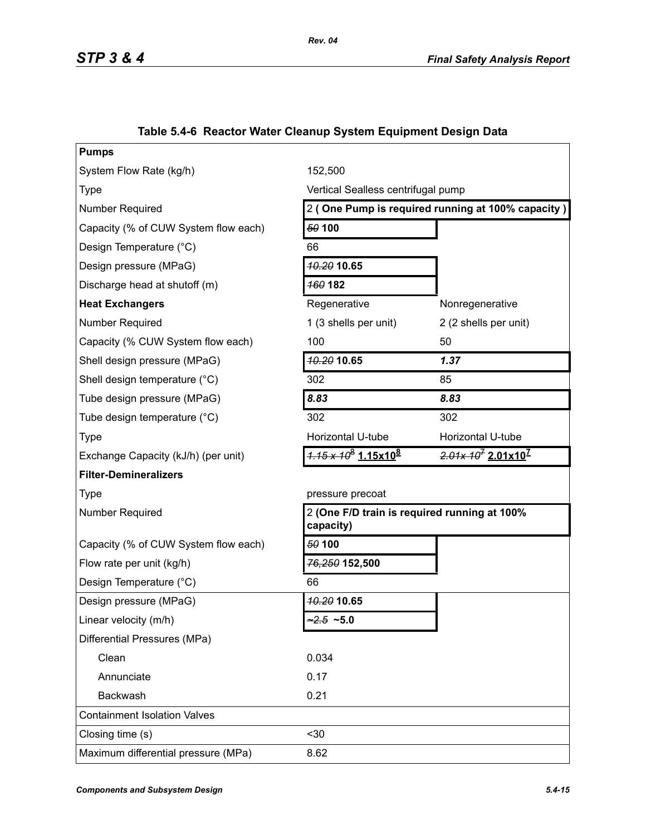| <b>Pumps</b>                         |                                                           |                                                   |  |
|--------------------------------------|-----------------------------------------------------------|---------------------------------------------------|--|
| System Flow Rate (kg/h)              | 152,500                                                   |                                                   |  |
| <b>Type</b>                          | Vertical Sealless centrifugal pump                        |                                                   |  |
| Number Required                      |                                                           | 2 (One Pump is required running at 100% capacity) |  |
| Capacity (% of CUW System flow each) | 50 100                                                    |                                                   |  |
| Design Temperature (°C)              | 66                                                        |                                                   |  |
| Design pressure (MPaG)               | <b>40.20 10.65</b>                                        |                                                   |  |
| Discharge head at shutoff (m)        | <b>160 182</b>                                            |                                                   |  |
| <b>Heat Exchangers</b>               | Regenerative                                              | Nonregenerative                                   |  |
| Number Required                      | 1 (3 shells per unit)                                     | 2 (2 shells per unit)                             |  |
| Capacity (% CUW System flow each)    | 100                                                       | 50                                                |  |
| Shell design pressure (MPaG)         | 10.20 10.65                                               | 1.37                                              |  |
| Shell design temperature (°C)        | 302                                                       | 85                                                |  |
| Tube design pressure (MPaG)          | 8.83                                                      | 8.83                                              |  |
| Tube design temperature (°C)         | 302                                                       | 302                                               |  |
| <b>Type</b>                          | Horizontal U-tube                                         | Horizontal U-tube                                 |  |
| Exchange Capacity (kJ/h) (per unit)  | $4.15 \times 10^8$ 1.15x10 <sup>8</sup>                   | $2.01x 107 2.01x107$                              |  |
| <b>Filter-Demineralizers</b>         |                                                           |                                                   |  |
| <b>Type</b>                          | pressure precoat                                          |                                                   |  |
| <b>Number Required</b>               | 2 (One F/D train is required running at 100%<br>capacity) |                                                   |  |
| Capacity (% of CUW System flow each) | 50 100                                                    |                                                   |  |
| Flow rate per unit (kg/h)            | 76,250 152,500                                            |                                                   |  |
| Design Temperature (°C)              | 66                                                        |                                                   |  |
| Design pressure (MPaG)               | <b>10.20 10.65</b>                                        |                                                   |  |
| Linear velocity (m/h)                | $2.5 - 5.0$                                               |                                                   |  |
| Differential Pressures (MPa)         |                                                           |                                                   |  |
| Clean                                | 0.034                                                     |                                                   |  |
| Annunciate                           | 0.17                                                      |                                                   |  |
| Backwash                             | 0.21                                                      |                                                   |  |
| <b>Containment Isolation Valves</b>  |                                                           |                                                   |  |
| Closing time (s)                     | $30$                                                      |                                                   |  |
| Maximum differential pressure (MPa)  | 8.62                                                      |                                                   |  |
|                                      |                                                           |                                                   |  |

# **Table 5.4-6 Reactor Water Cleanup System Equipment Design Data**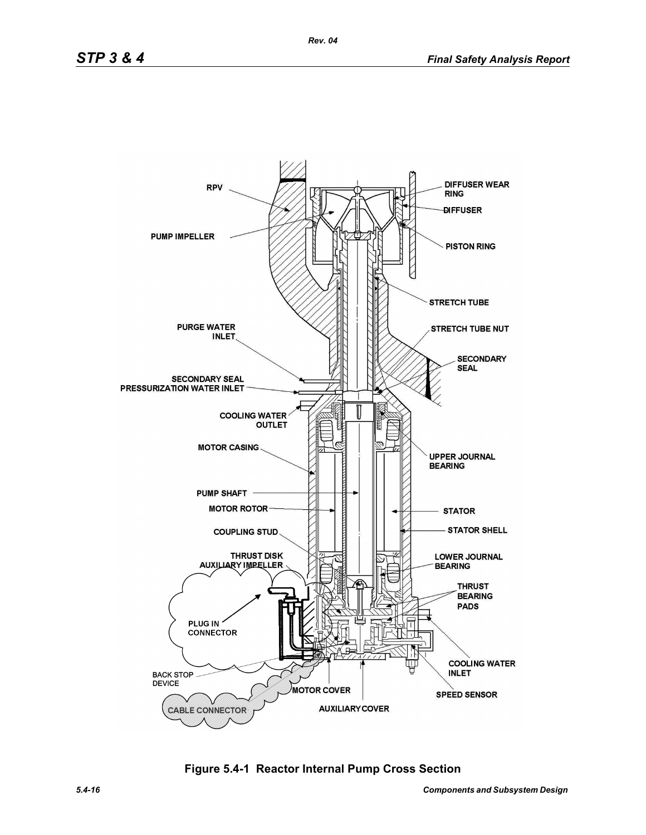

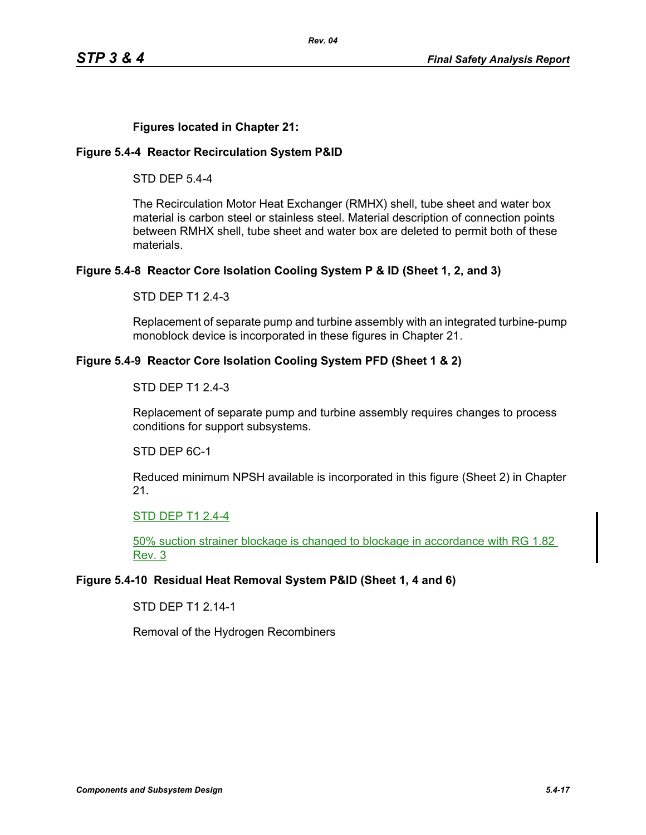## **Figures located in Chapter 21:**

### **Figure 5.4-4 Reactor Recirculation System P&ID**

STD DEP 5.4-4

The Recirculation Motor Heat Exchanger (RMHX) shell, tube sheet and water box material is carbon steel or stainless steel. Material description of connection points between RMHX shell, tube sheet and water box are deleted to permit both of these materials.

### **Figure 5.4-8 Reactor Core Isolation Cooling System P & ID (Sheet 1, 2, and 3)**

STD DEP T1 2.4-3

Replacement of separate pump and turbine assembly with an integrated turbine-pump monoblock device is incorporated in these figures in Chapter 21.

#### **Figure 5.4-9 Reactor Core Isolation Cooling System PFD (Sheet 1 & 2)**

#### STD DEP T1 2.4-3

Replacement of separate pump and turbine assembly requires changes to process conditions for support subsystems.

STD DEP 6C-1

Reduced minimum NPSH available is incorporated in this figure (Sheet 2) in Chapter 21.

#### STD DEP T1 2.4-4

50% suction strainer blockage is changed to blockage in accordance with RG 1.82 Rev. 3

### **Figure 5.4-10 Residual Heat Removal System P&ID (Sheet 1, 4 and 6)**

STD DEP T1 2.14-1

Removal of the Hydrogen Recombiners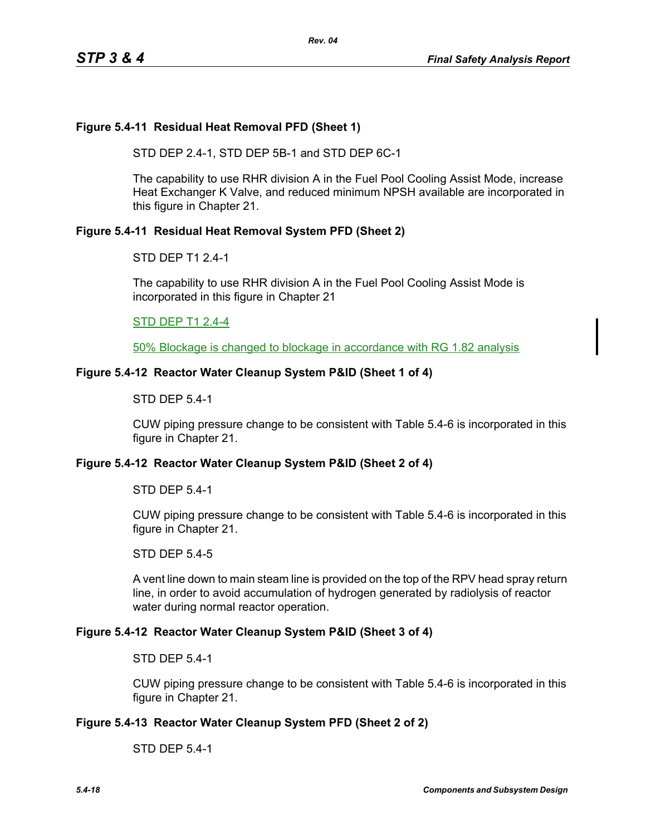### **Figure 5.4-11 Residual Heat Removal PFD (Sheet 1)**

STD DEP 2.4-1, STD DEP 5B-1 and STD DEP 6C-1

The capability to use RHR division A in the Fuel Pool Cooling Assist Mode, increase Heat Exchanger K Valve, and reduced minimum NPSH available are incorporated in this figure in Chapter 21.

#### **Figure 5.4-11 Residual Heat Removal System PFD (Sheet 2)**

#### STD DEP T1 2.4-1

The capability to use RHR division A in the Fuel Pool Cooling Assist Mode is incorporated in this figure in Chapter 21

### STD DEP T1 2.4-4

50% Blockage is changed to blockage in accordance with RG 1.82 analysis

#### **Figure 5.4-12 Reactor Water Cleanup System P&ID (Sheet 1 of 4)**

#### STD DEP 5.4-1

CUW piping pressure change to be consistent with Table 5.4-6 is incorporated in this figure in Chapter 21.

#### **Figure 5.4-12 Reactor Water Cleanup System P&ID (Sheet 2 of 4)**

#### STD DEP 5.4-1

CUW piping pressure change to be consistent with Table 5.4-6 is incorporated in this figure in Chapter 21.

#### STD DEP 5.4-5

A vent line down to main steam line is provided on the top of the RPV head spray return line, in order to avoid accumulation of hydrogen generated by radiolysis of reactor water during normal reactor operation.

#### **Figure 5.4-12 Reactor Water Cleanup System P&ID (Sheet 3 of 4)**

#### STD DEP 5.4-1

CUW piping pressure change to be consistent with Table 5.4-6 is incorporated in this figure in Chapter 21.

#### **Figure 5.4-13 Reactor Water Cleanup System PFD (Sheet 2 of 2)**

STD DEP 5.4-1